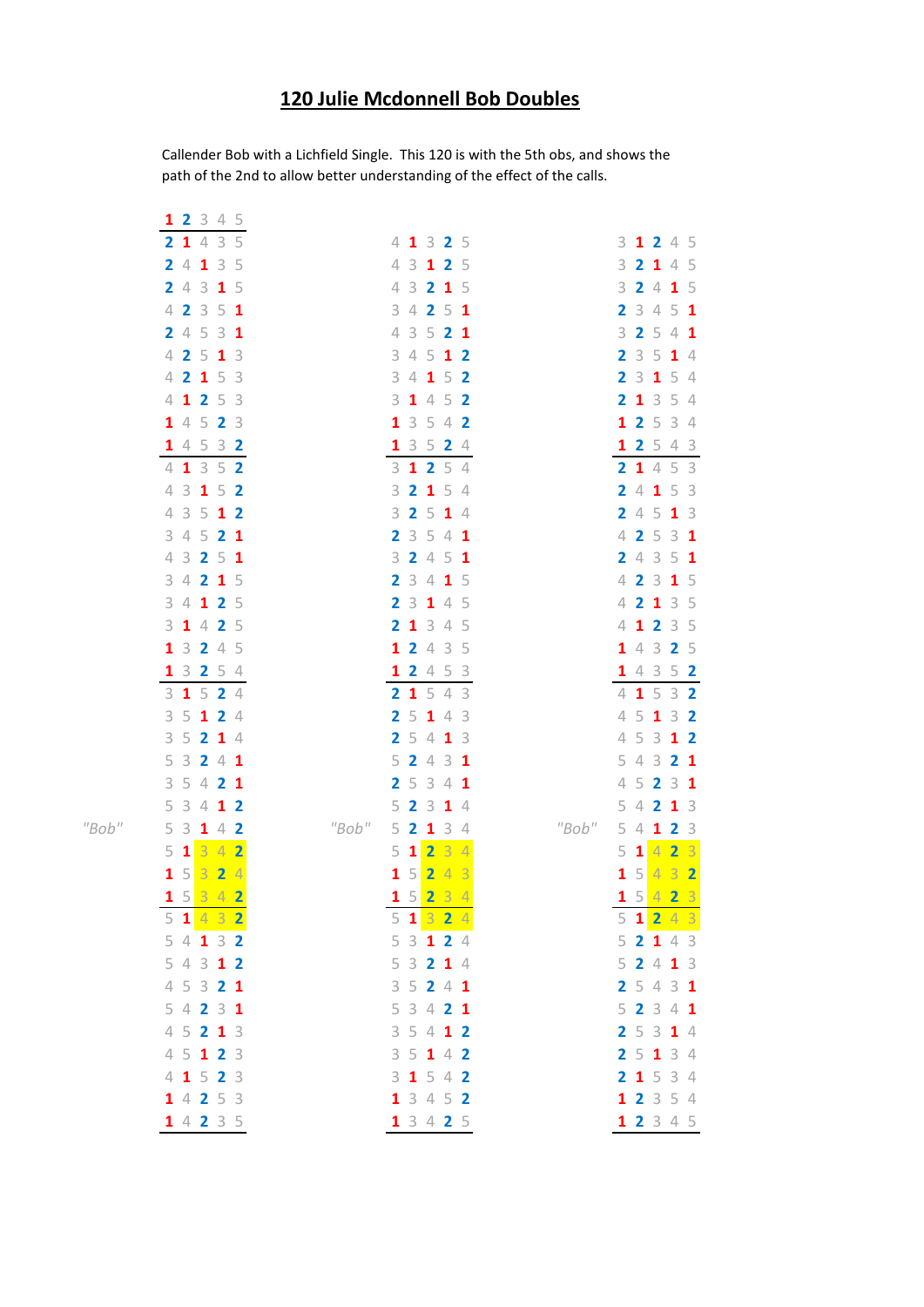## **120 Julie Mcdonnell Bob Doubles**

Callender Bob with a Lichfield Single. This 120 is with the 5th obs, and shows the path of the 2nd to allow better understanding of the effect of the calls.

|       | 1 2 3 4 5                |                                           |                                                                |
|-------|--------------------------|-------------------------------------------|----------------------------------------------------------------|
|       | 2 1 4 3 5                | 4 1 3 2 5                                 | 3 1 2 4 5                                                      |
|       | 2 4 1 3 5                | 4 3 1 2 5                                 | 3<br>2 1 4 5                                                   |
|       | 2 4 3 1 5                | 4 3 2 1 5                                 | 3 2 4 1 5                                                      |
|       | 4 2 3 5 1                | 3 4 2 5 1                                 | 3451<br>$\overline{2}$                                         |
|       | 245<br>3<br>1            | 4 3 5 2<br>-1                             | 2 5 4 1<br>3                                                   |
|       | 4 2 5 1 3                | 3 4 5 1 2                                 | 3514<br>2                                                      |
|       | 4 2 1 5 3                | 3 4 1 5 2                                 | 2 3 1 5 4                                                      |
|       | 4 1 2 5 3                | $3$ 1 4 5 2                               | 2 1 3 5 4                                                      |
|       | 1 4 5 2<br>-3            | 1 3 5 4 2                                 | 1 2 5 3 4                                                      |
|       | 1 4 5 3 2                | 1 3 5 2 4                                 | 1 2 5 4 3                                                      |
|       | 4 1 3 5 2                | 3 1 2 5 4                                 | 2 1 4 5 3                                                      |
|       | 4 3 1 5 2                | 3 2 1 5 4                                 | 4 1 5 3<br>$\overline{2}$                                      |
|       | 4 3 5 1 2                | 3 2 5 1 4                                 | 2 4 5 1 3                                                      |
|       | 3 4 5 2 1                | 2 3 5 4 1                                 | 4 2 5 3 1                                                      |
|       | 4 3 2 5 1                | 3 2 4 5 1                                 | 2 4 3 5 1                                                      |
|       | 3 4 2 1 5                | 2 3 4 1 5                                 | 4 2 3 1 5                                                      |
|       | 3 4 1 2 5                | 2 3 1 4 5                                 | 4 2 1 3 5                                                      |
|       | 3 1 4 2 5                | 2 1 3 4 5                                 | 4 1 2 3 5                                                      |
|       | 3 2 4 5<br>$\mathbf{1}$  | 1 2 4 3 5                                 | 1 4 3 2 5                                                      |
|       | 1 3 2 5 4                | 1 2 4 5 3                                 | 1 4 3 5 2                                                      |
|       | $3$ 1 5 2 4<br>3 5 1 2 4 | 2 1 5 4 3<br>2 5 1 4 3                    | 4 1 5 3 2<br>5 1 3 2<br>4                                      |
|       | 3 5 2 1 4                | 2 5 4 1 3                                 | 5 3<br>$\sqrt{\phantom{a}}$<br>1 <sub>2</sub>                  |
|       | 5 3 2 4 1                | 2 4 3 1<br>5.                             | 543<br>2 <sub>1</sub>                                          |
|       | 3 5 4 2 1                | 5341<br>2                                 | $\measuredangle$<br>5 2 3 1                                    |
|       | 5 3 4 1 2                | 2 3 1 4<br>5                              | 5<br>4 2 1 3                                                   |
| "Bob" | 5<br>$3$ 1 4 2           | "Bob"<br>$2 \quad 1$<br>34<br>5           | "Bob"<br>5<br>$\overline{4}$<br>2 <sup>3</sup><br>$\mathbf{1}$ |
|       | $5$ 1 $3$ 4 2            | 23<br>5<br>$\mathbf{1}$<br>$\overline{4}$ | 42<br>5<br>$\overline{\mathbf{3}}$<br>$\mathbf{1}$             |
|       | 1532<br>$\overline{4}$   | 24<br>5 <sup>1</sup><br>3<br>1            | 4 3 2<br>5 <sup>1</sup><br>$\mathbf{1}$                        |
|       | 15342                    | 1523<br>$\overline{4}$                    | 15423                                                          |
|       | $5$ 1 4 3 2              | 5 1 3 2 4                                 | $5$ 1 2 4 3                                                    |
|       | 54132                    | 5 3 1 2 4                                 | 52143                                                          |
|       | 5 4 3 1 2                | 5 3 2 1 4                                 | 52413                                                          |
|       | 4 5 3 2 1                | 3 5 2 4 1                                 | 2 5 4 3 1                                                      |
|       | 54231                    | 5 3 4 2 1                                 | 52341                                                          |
|       | 4 5 2 1 3                | 3 5 4 1 2                                 | 2 5 3 1 4                                                      |
|       | 4 5 1 2 3                | 35142                                     | 2 5 1 3 4                                                      |
|       | 4 1 5 2 3                | $3$ 1 5 4 2                               | 2 1 5 3 4                                                      |
|       | 14253                    | 1 3 4 5 2                                 | 1 2 3 5 4                                                      |
|       | 14235                    | 1 3 4 2 5                                 | 1 2 3 4 5                                                      |